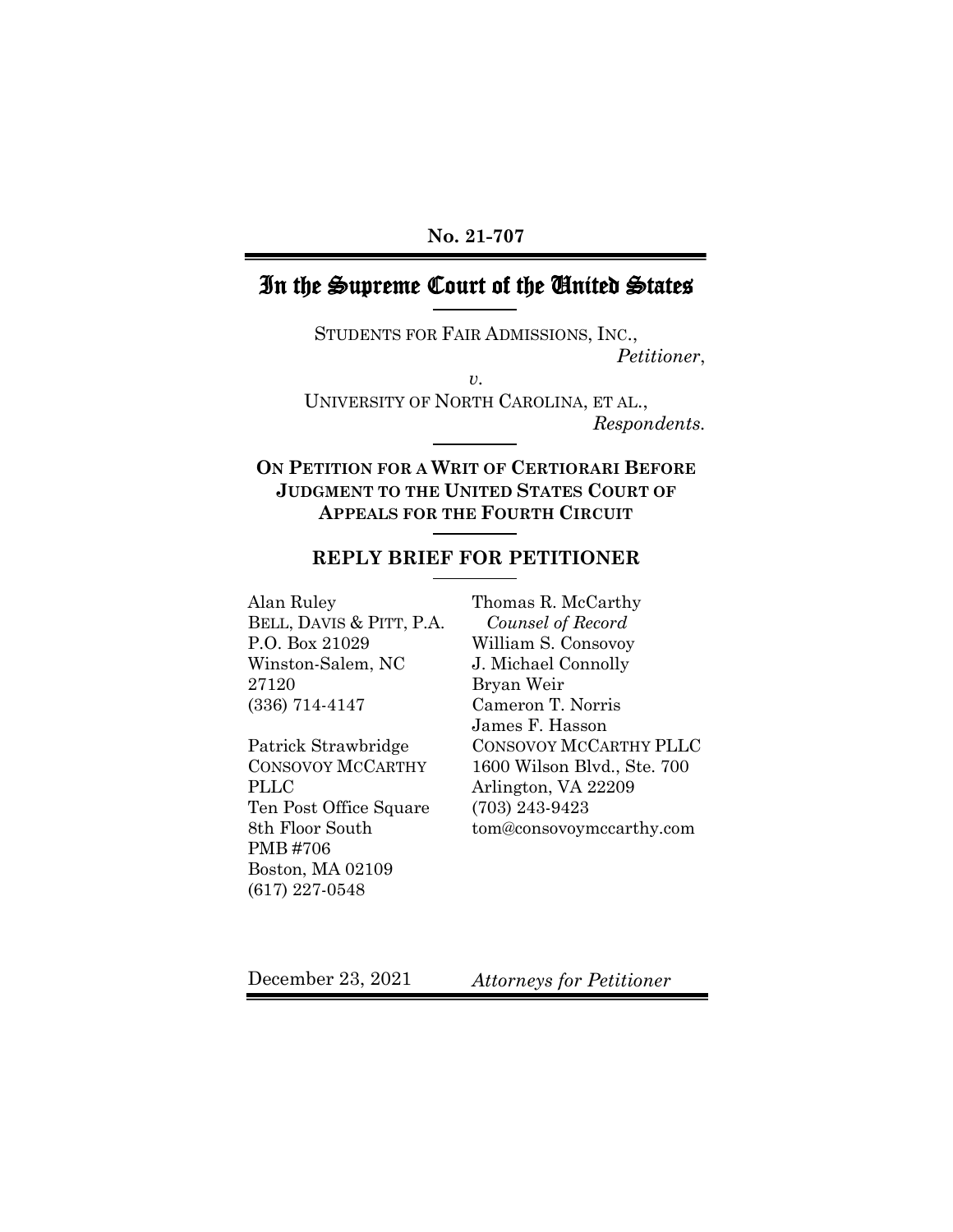### **No. 21-707**

# In the Supreme Court of the United States

STUDENTS FOR FAIR ADMISSIONS, INC., *Petitioner*,

*v.*

UNIVERSITY OF NORTH CAROLINA, ET AL., *Respondents.*

**ON PETITION FOR A WRIT OF CERTIORARI BEFORE JUDGMENT TO THE UNITED STATES COURT OF APPEALS FOR THE FOURTH CIRCUIT**

### **REPLY BRIEF FOR PETITIONER**

Alan Ruley BELL, DAVIS & PITT, P.A. P.O. Box 21029 Winston-Salem, NC 27120 (336) 714-4147

Patrick Strawbridge CONSOVOY MCCARTHY PLLC Ten Post Office Square 8th Floor South PMB #706 Boston, MA 02109 (617) 227-0548

Thomas R. McCarthy *Counsel of Record* William S. Consovoy J. Michael Connolly Bryan Weir Cameron T. Norris James F. Hasson CONSOVOY MCCARTHY PLLC 1600 Wilson Blvd., Ste. 700 Arlington, VA 22209 (703) 243-9423 tom@consovoymccarthy.com

December 23, 2021

*Attorneys for Petitioner*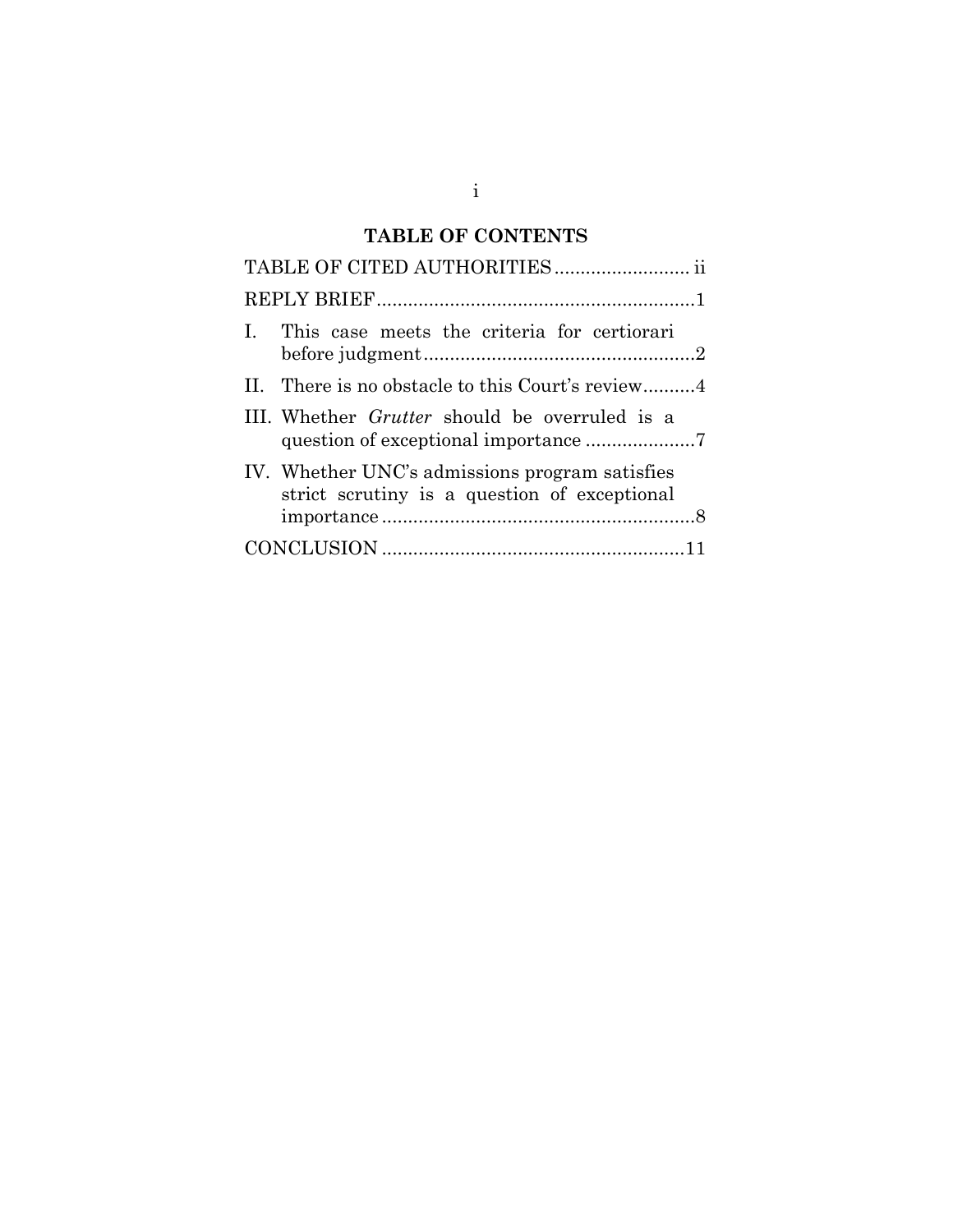# **TABLE OF CONTENTS**

| I. This case meets the criteria for certiorari                                                 |
|------------------------------------------------------------------------------------------------|
|                                                                                                |
| III. Whether <i>Grutter</i> should be overruled is a                                           |
| IV. Whether UNC's admissions program satisfies<br>strict scrutiny is a question of exceptional |
|                                                                                                |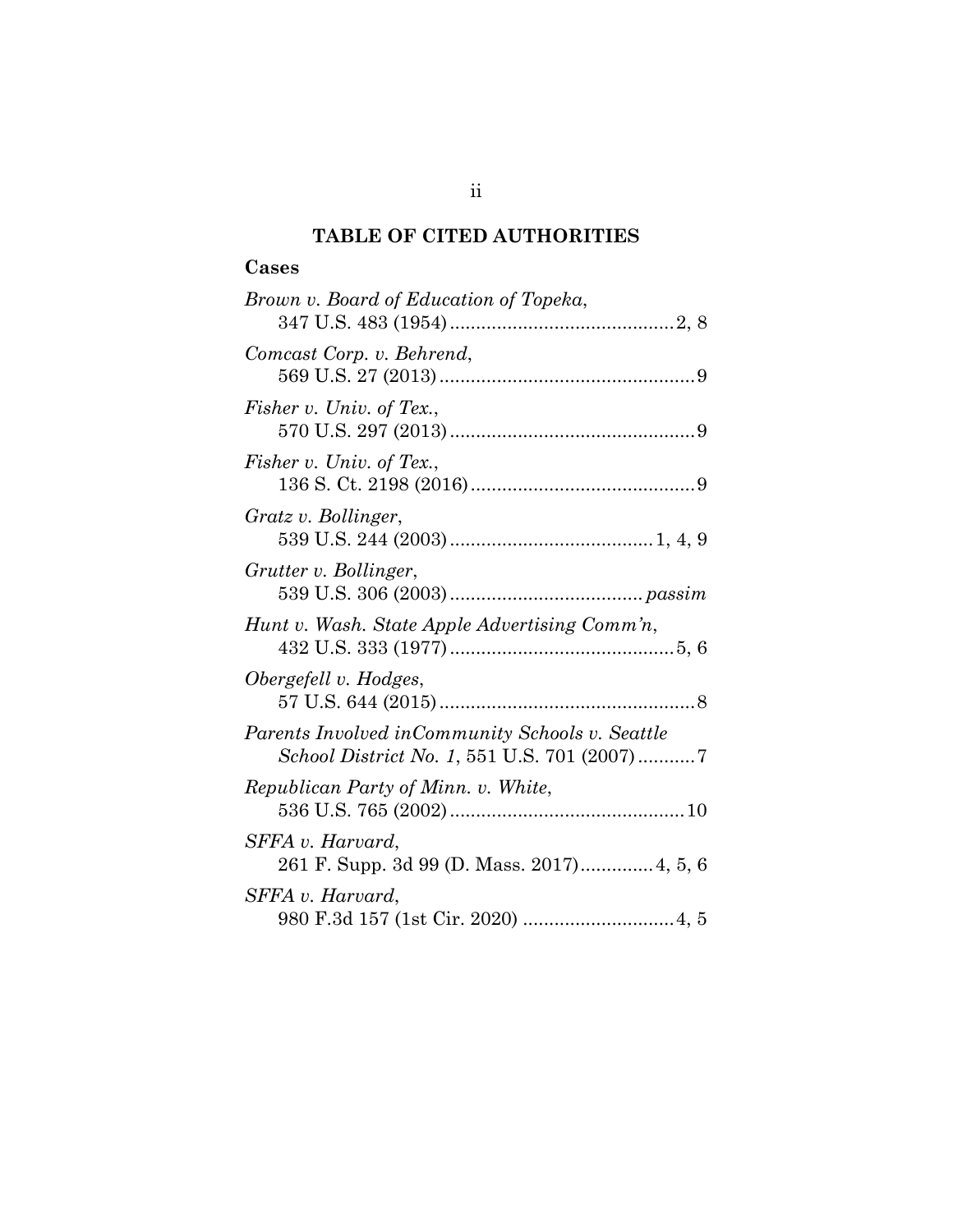## **TABLE OF CITED AUTHORITIES**

### **Cases**

| Brown v. Board of Education of Topeka,                                                          |
|-------------------------------------------------------------------------------------------------|
| Comcast Corp. v. Behrend,                                                                       |
| Fisher v. Univ. of Tex.,                                                                        |
| Fisher v. Univ. of Tex.,                                                                        |
| Gratz v. Bollinger,                                                                             |
| Grutter v. Bollinger,                                                                           |
| Hunt v. Wash. State Apple Advertising Comm'n,                                                   |
| Obergefell v. Hodges,                                                                           |
| Parents Involved in Community Schools v. Seattle<br>School District No. 1, 551 U.S. 701 (2007)7 |
| Republican Party of Minn. v. White,                                                             |
| SFFA v. Harvard,<br>261 F. Supp. 3d 99 (D. Mass. 2017) 4, 5, 6                                  |
| SFFA v. Harvard,                                                                                |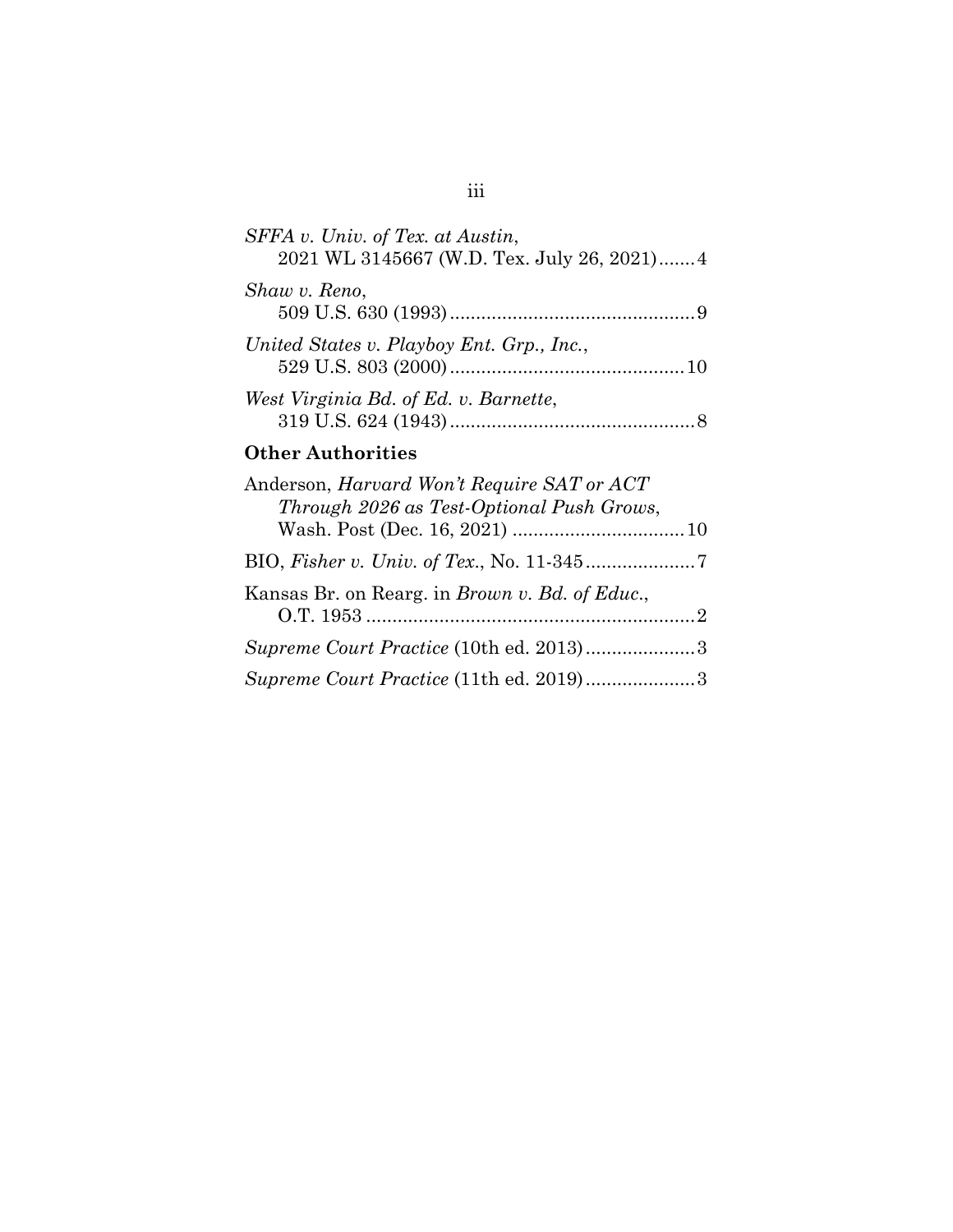| SFFA v. Univ. of Tex. at Austin,<br>2021 WL 3145667 (W.D. Tex. July 26, 2021) 4 |  |
|---------------------------------------------------------------------------------|--|
| Shaw v. Reno,                                                                   |  |
| United States v. Playboy Ent. Grp., Inc.,                                       |  |
| West Virginia Bd. of Ed. v. Barnette,                                           |  |
|                                                                                 |  |

### **Other Authorities**

| Anderson, <i>Harvard Won't Require SAT or ACT</i><br>Through 2026 as Test-Optional Push Grows, |  |
|------------------------------------------------------------------------------------------------|--|
|                                                                                                |  |
|                                                                                                |  |
| Kansas Br. on Rearg. in <i>Brown v. Bd. of Educ.</i> ,                                         |  |
| Supreme Court Practice (10th ed. 2013)3                                                        |  |
| Supreme Court Practice (11th ed. 2019)3                                                        |  |

## iii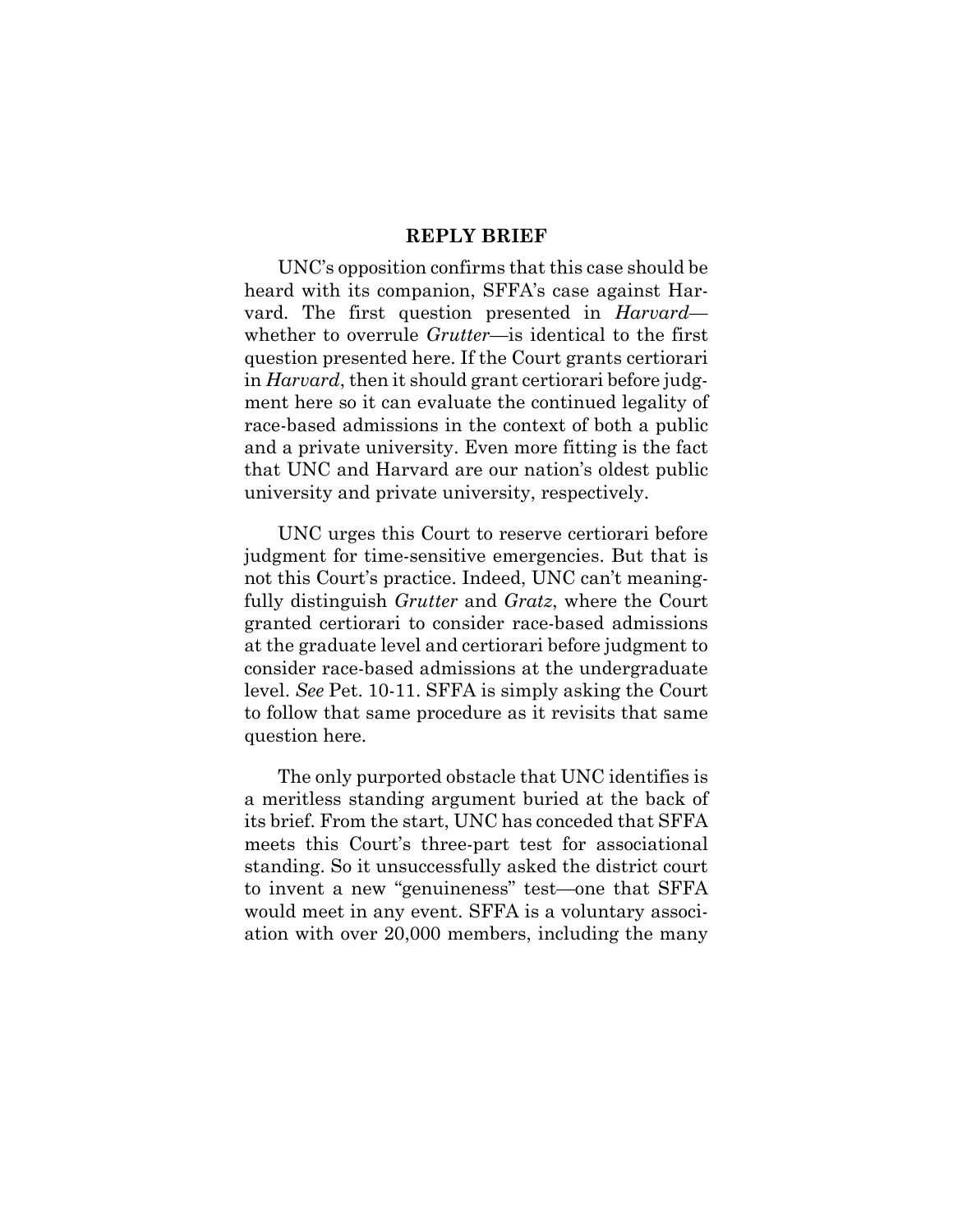#### **REPLY BRIEF**

UNC's opposition confirms that this case should be heard with its companion, SFFA's case against Harvard. The first question presented in *Harvard* whether to overrule *Grutter*—is identical to the first question presented here. If the Court grants certiorari in *Harvard*, then it should grant certiorari before judgment here so it can evaluate the continued legality of race-based admissions in the context of both a public and a private university. Even more fitting is the fact that UNC and Harvard are our nation's oldest public university and private university, respectively.

UNC urges this Court to reserve certiorari before judgment for time-sensitive emergencies. But that is not this Court's practice. Indeed, UNC can't meaningfully distinguish *Grutter* and *Gratz*, where the Court granted certiorari to consider race-based admissions at the graduate level and certiorari before judgment to consider race-based admissions at the undergraduate level. *See* Pet. 10-11. SFFA is simply asking the Court to follow that same procedure as it revisits that same question here.

The only purported obstacle that UNC identifies is a meritless standing argument buried at the back of its brief. From the start, UNC has conceded that SFFA meets this Court's three-part test for associational standing. So it unsuccessfully asked the district court to invent a new "genuineness" test—one that SFFA would meet in any event. SFFA is a voluntary association with over 20,000 members, including the many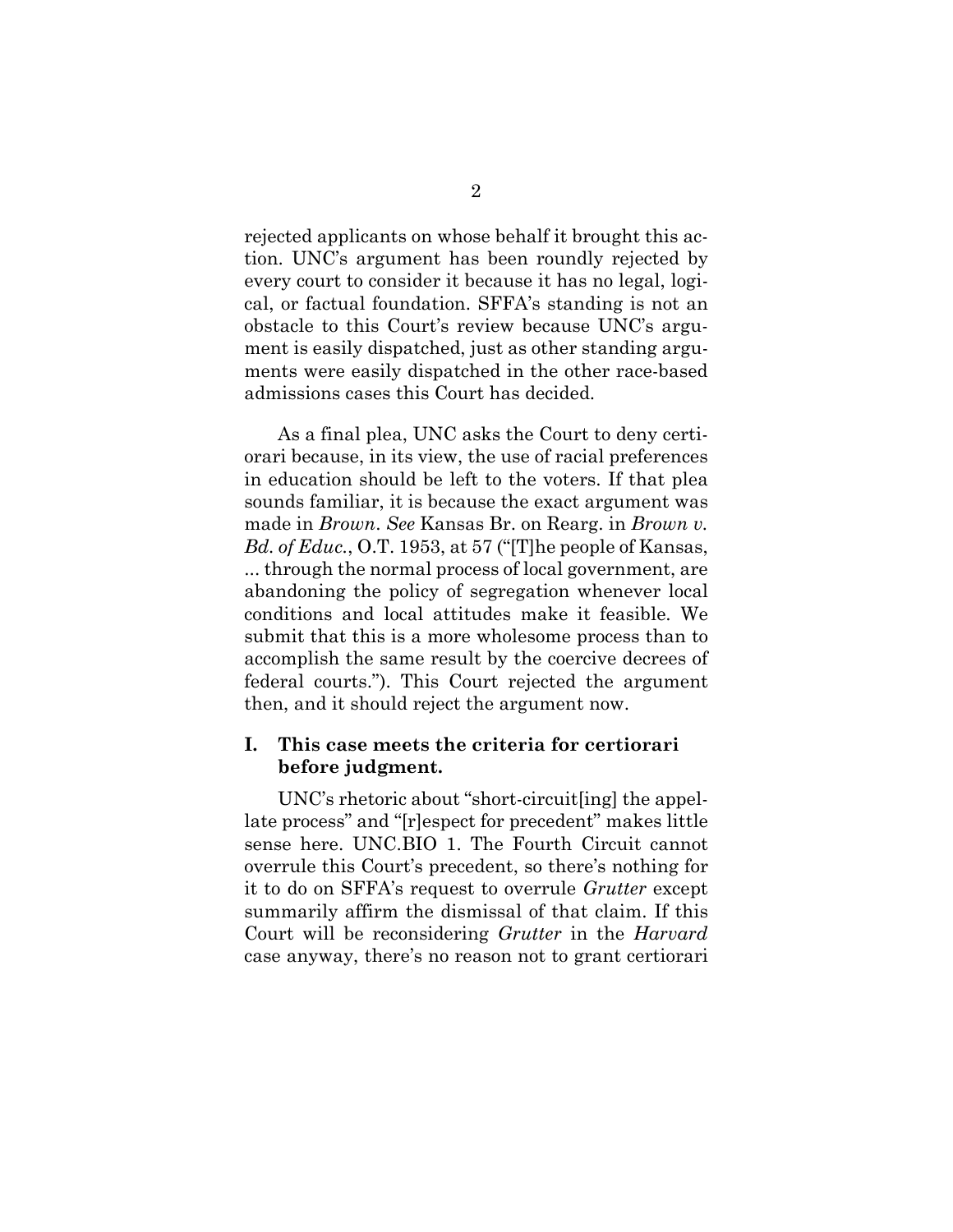rejected applicants on whose behalf it brought this action. UNC's argument has been roundly rejected by every court to consider it because it has no legal, logical, or factual foundation. SFFA's standing is not an obstacle to this Court's review because UNC's argument is easily dispatched, just as other standing arguments were easily dispatched in the other race-based admissions cases this Court has decided.

As a final plea, UNC asks the Court to deny certiorari because, in its view, the use of racial preferences in education should be left to the voters. If that plea sounds familiar, it is because the exact argument was made in *Brown*. *See* Kansas Br. on Rearg. in *Brown v. Bd. of Educ.*, O.T. 1953, at 57 ("[T]he people of Kansas, ... through the normal process of local government, are abandoning the policy of segregation whenever local conditions and local attitudes make it feasible. We submit that this is a more wholesome process than to accomplish the same result by the coercive decrees of federal courts."). This Court rejected the argument then, and it should reject the argument now.

### **I. This case meets the criteria for certiorari before judgment.**

UNC's rhetoric about "short-circuit[ing] the appellate process" and "[r]espect for precedent" makes little sense here. UNC.BIO 1. The Fourth Circuit cannot overrule this Court's precedent, so there's nothing for it to do on SFFA's request to overrule *Grutter* except summarily affirm the dismissal of that claim. If this Court will be reconsidering *Grutter* in the *Harvard*  case anyway, there's no reason not to grant certiorari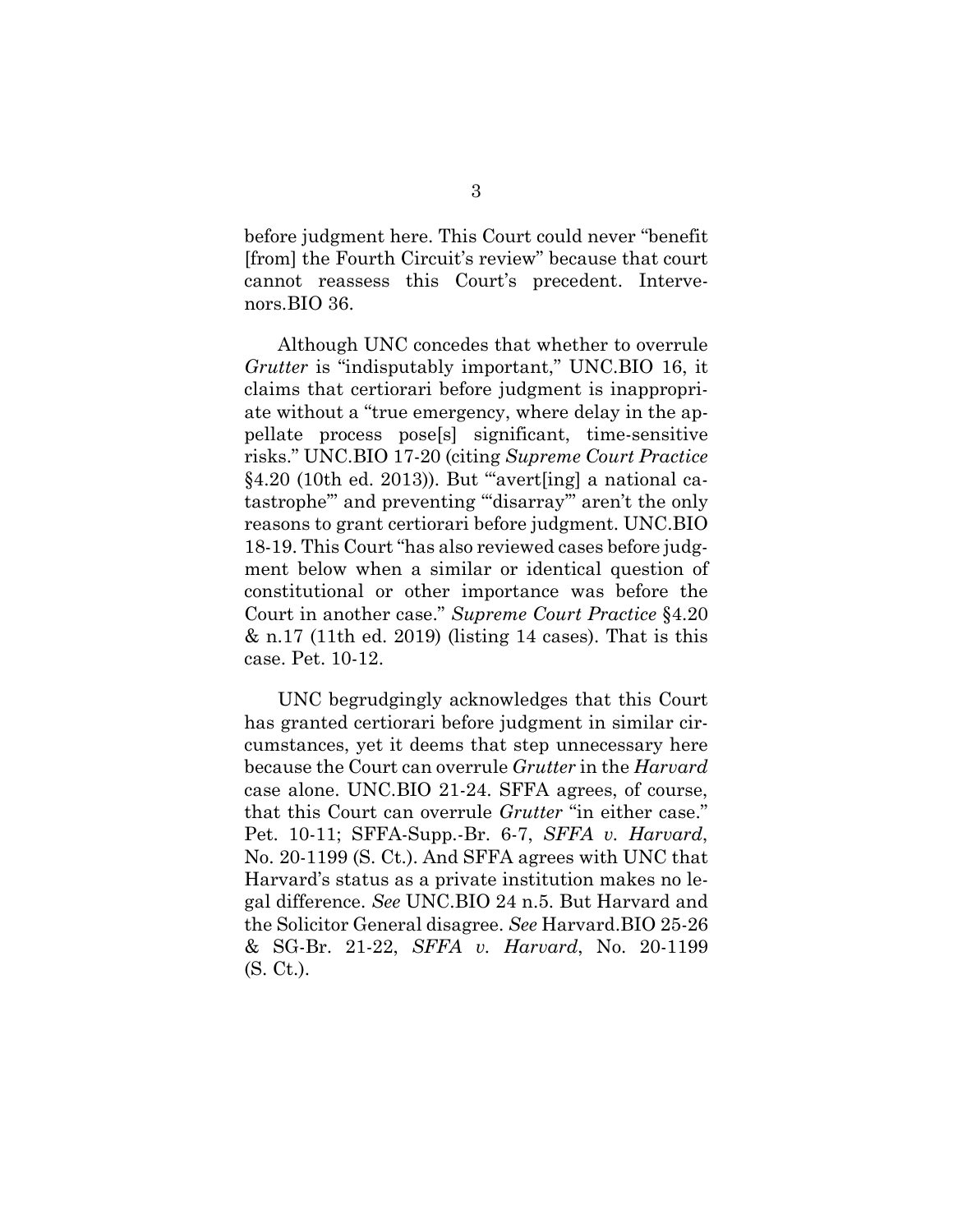before judgment here. This Court could never "benefit [from] the Fourth Circuit's review" because that court cannot reassess this Court's precedent. Intervenors.BIO 36.

Although UNC concedes that whether to overrule *Grutter* is "indisputably important," UNC.BIO 16, it claims that certiorari before judgment is inappropriate without a "true emergency, where delay in the appellate process pose[s] significant, time-sensitive risks." UNC.BIO 17-20 (citing *Supreme Court Practice*  $§4.20$  (10th ed. 2013)). But "avert[ing] a national catastrophe'" and preventing "'disarray'" aren't the only reasons to grant certiorari before judgment. UNC.BIO 18-19. This Court "has also reviewed cases before judgment below when a similar or identical question of constitutional or other importance was before the Court in another case." *Supreme Court Practice* §4.20 & n.17 (11th ed. 2019) (listing 14 cases). That is this case. Pet. 10-12.

UNC begrudgingly acknowledges that this Court has granted certiorari before judgment in similar circumstances, yet it deems that step unnecessary here because the Court can overrule *Grutter* in the *Harvard*  case alone. UNC.BIO 21-24. SFFA agrees, of course, that this Court can overrule *Grutter* "in either case." Pet. 10-11; SFFA-Supp.-Br. 6-7, *SFFA v. Harvard*, No. 20-1199 (S. Ct.). And SFFA agrees with UNC that Harvard's status as a private institution makes no legal difference. *See* UNC.BIO 24 n.5. But Harvard and the Solicitor General disagree. *See* Harvard.BIO 25-26 & SG-Br. 21-22, *SFFA v. Harvard*, No. 20-1199 (S. Ct.).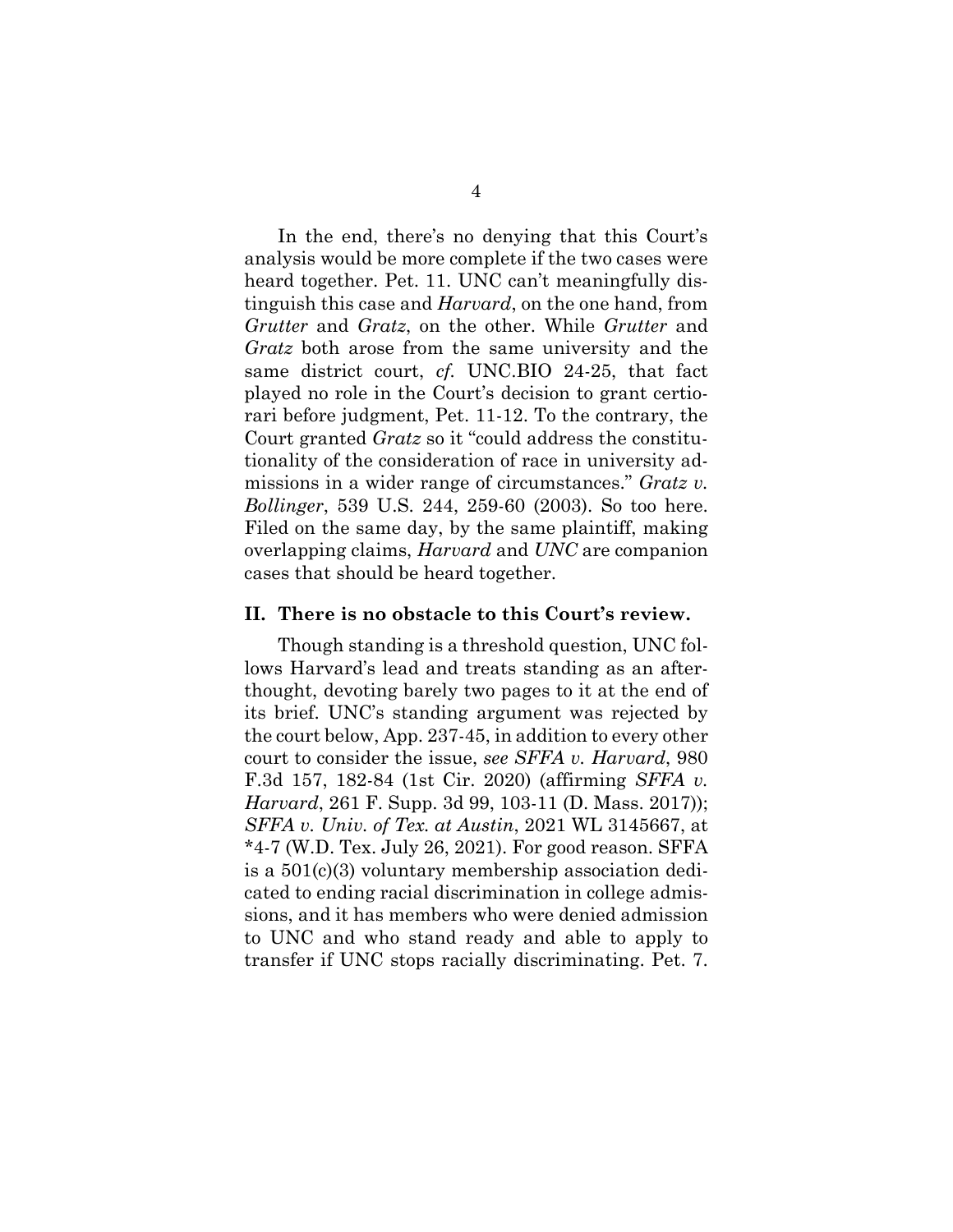In the end, there's no denying that this Court's analysis would be more complete if the two cases were heard together. Pet. 11. UNC can't meaningfully distinguish this case and *Harvard*, on the one hand, from *Grutter* and *Gratz*, on the other. While *Grutter* and *Gratz* both arose from the same university and the same district court, *cf.* UNC.BIO 24-25, that fact played no role in the Court's decision to grant certiorari before judgment, Pet. 11-12. To the contrary, the Court granted *Gratz* so it "could address the constitutionality of the consideration of race in university admissions in a wider range of circumstances." *Gratz v. Bollinger*, 539 U.S. 244, 259-60 (2003). So too here. Filed on the same day, by the same plaintiff, making overlapping claims, *Harvard* and *UNC* are companion cases that should be heard together.

#### **II. There is no obstacle to this Court's review.**

Though standing is a threshold question, UNC follows Harvard's lead and treats standing as an afterthought, devoting barely two pages to it at the end of its brief. UNC's standing argument was rejected by the court below, App. 237-45, in addition to every other court to consider the issue, *see SFFA v. Harvard*, 980 F.3d 157, 182-84 (1st Cir. 2020) (affirming *SFFA v. Harvard*, 261 F. Supp. 3d 99, 103-11 (D. Mass. 2017)); *SFFA v. Univ. of Tex. at Austin*, 2021 WL 3145667, at \*4-7 (W.D. Tex. July 26, 2021). For good reason. SFFA is a 501(c)(3) voluntary membership association dedicated to ending racial discrimination in college admissions, and it has members who were denied admission to UNC and who stand ready and able to apply to transfer if UNC stops racially discriminating. Pet. 7.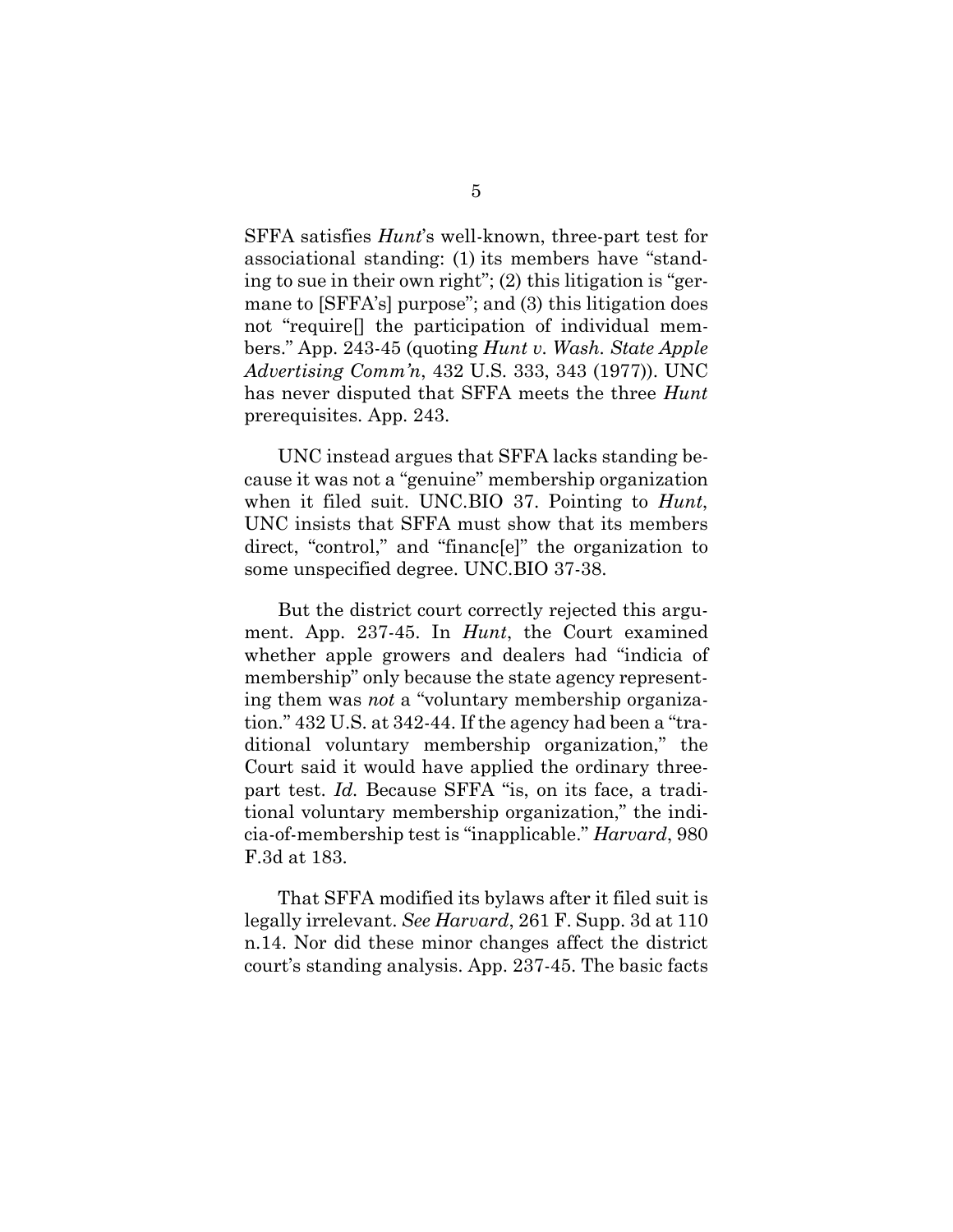SFFA satisfies *Hunt*'s well-known, three-part test for associational standing: (1) its members have "standing to sue in their own right"; (2) this litigation is "germane to [SFFA's] purpose"; and (3) this litigation does not "require[] the participation of individual members." App. 243-45 (quoting *Hunt v. Wash. State Apple Advertising Comm'n*, 432 U.S. 333, 343 (1977)). UNC has never disputed that SFFA meets the three *Hunt* prerequisites. App. 243.

UNC instead argues that SFFA lacks standing because it was not a "genuine" membership organization when it filed suit. UNC.BIO 37. Pointing to *Hunt*, UNC insists that SFFA must show that its members direct, "control," and "financ[e]" the organization to some unspecified degree. UNC.BIO 37-38.

But the district court correctly rejected this argument. App. 237-45. In *Hunt*, the Court examined whether apple growers and dealers had "indicia of membership" only because the state agency representing them was *not* a "voluntary membership organization." 432 U.S. at 342-44. If the agency had been a "traditional voluntary membership organization," the Court said it would have applied the ordinary threepart test. *Id.* Because SFFA "is, on its face, a traditional voluntary membership organization," the indicia-of-membership test is "inapplicable." *Harvard*, 980 F.3d at 183.

That SFFA modified its bylaws after it filed suit is legally irrelevant. *See Harvard*, 261 F. Supp. 3d at 110 n.14. Nor did these minor changes affect the district court's standing analysis. App. 237-45. The basic facts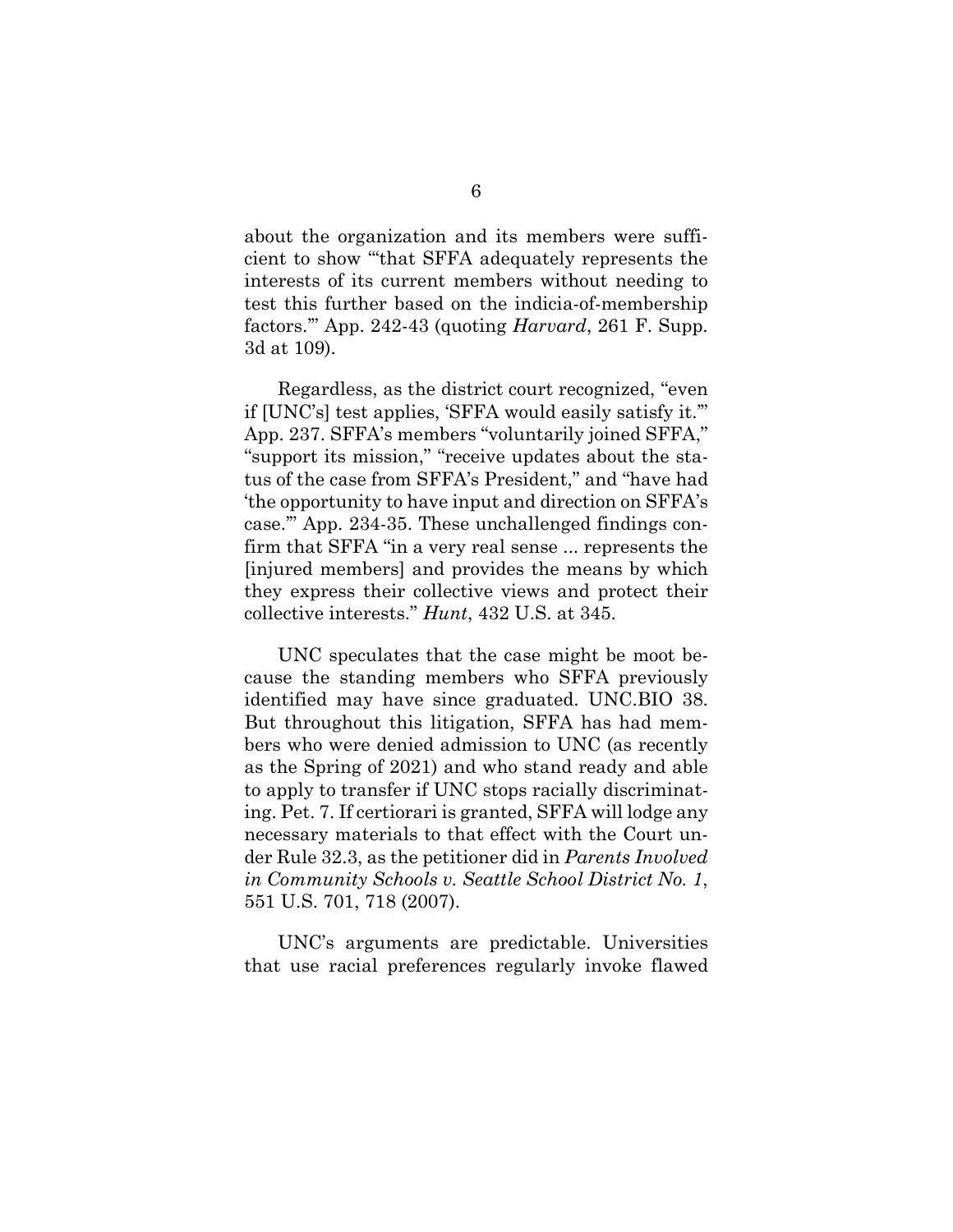about the organization and its members were sufficient to show "'that SFFA adequately represents the interests of its current members without needing to test this further based on the indicia-of-membership factors.'" App. 242-43 (quoting *Harvard*, 261 F. Supp. 3d at 109).

Regardless, as the district court recognized, "even if [UNC's] test applies, 'SFFA would easily satisfy it.'" App. 237. SFFA's members "voluntarily joined SFFA," "support its mission," "receive updates about the status of the case from SFFA's President," and "have had 'the opportunity to have input and direction on SFFA's case.'" App. 234-35. These unchallenged findings confirm that SFFA "in a very real sense ... represents the [injured members] and provides the means by which they express their collective views and protect their collective interests." *Hunt*, 432 U.S. at 345.

UNC speculates that the case might be moot because the standing members who SFFA previously identified may have since graduated. UNC.BIO 38. But throughout this litigation, SFFA has had members who were denied admission to UNC (as recently as the Spring of 2021) and who stand ready and able to apply to transfer if UNC stops racially discriminating. Pet. 7. If certiorari is granted, SFFA will lodge any necessary materials to that effect with the Court under Rule 32.3, as the petitioner did in *Parents Involved in Community Schools v. Seattle School District No. 1*, 551 U.S. 701, 718 (2007).

UNC's arguments are predictable. Universities that use racial preferences regularly invoke flawed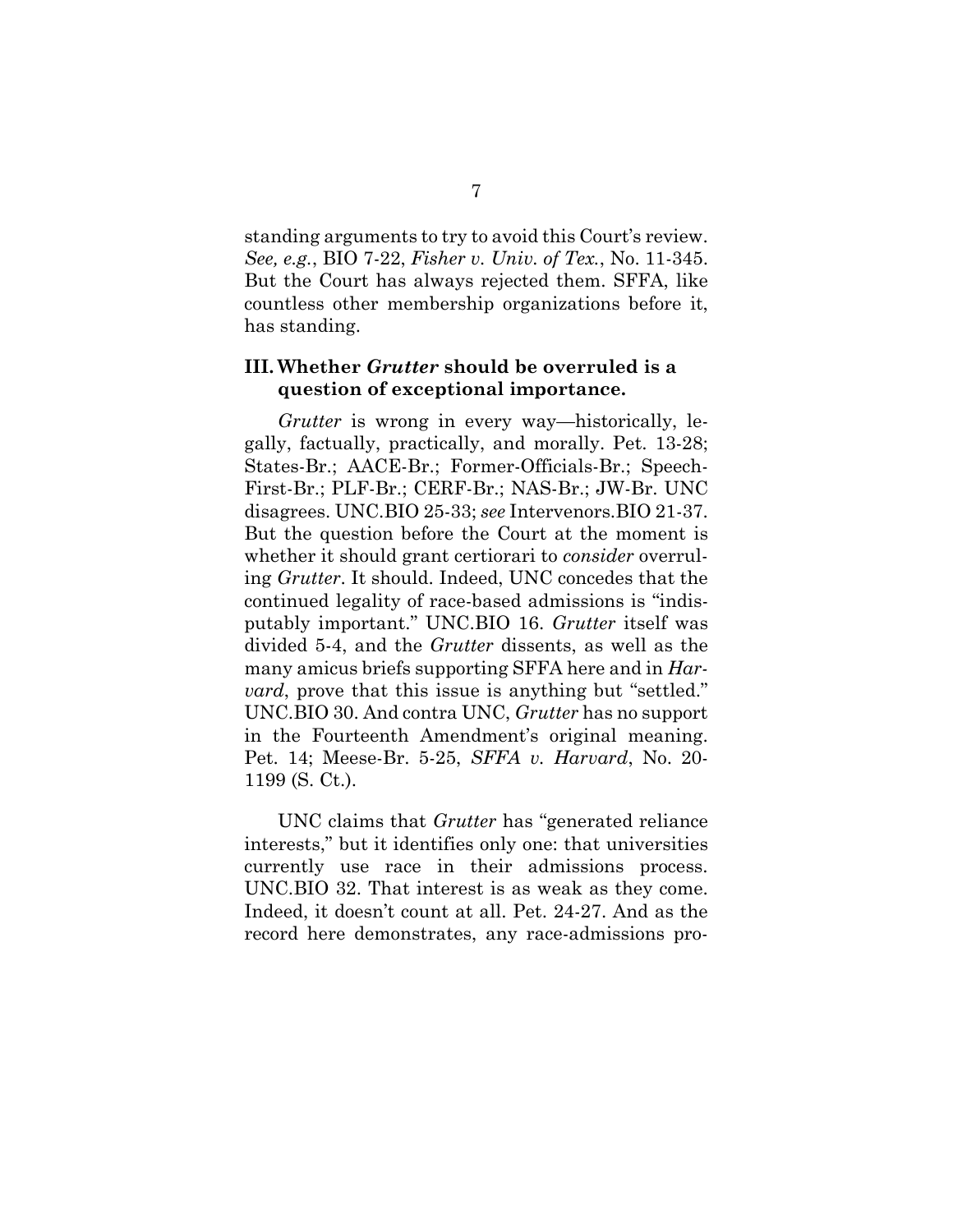standing arguments to try to avoid this Court's review. *See, e.g.*, BIO 7-22, *Fisher v. Univ. of Tex.*, No. 11-345. But the Court has always rejected them. SFFA, like countless other membership organizations before it, has standing.

### **III. Whether** *Grutter* **should be overruled is a question of exceptional importance.**

*Grutter* is wrong in every way—historically, legally, factually, practically, and morally. Pet. 13-28; States-Br.; AACE-Br.; Former-Officials-Br.; Speech-First-Br.; PLF-Br.; CERF-Br.; NAS-Br.; JW-Br. UNC disagrees. UNC.BIO 25-33; *see* Intervenors.BIO 21-37. But the question before the Court at the moment is whether it should grant certiorari to *consider* overruling *Grutter*. It should. Indeed, UNC concedes that the continued legality of race-based admissions is "indisputably important." UNC.BIO 16. *Grutter* itself was divided 5-4, and the *Grutter* dissents, as well as the many amicus briefs supporting SFFA here and in *Harvard*, prove that this issue is anything but "settled." UNC.BIO 30. And contra UNC, *Grutter* has no support in the Fourteenth Amendment's original meaning. Pet. 14; Meese-Br. 5-25, *SFFA v. Harvard*, No. 20- 1199 (S. Ct.).

UNC claims that *Grutter* has "generated reliance interests," but it identifies only one: that universities currently use race in their admissions process. UNC.BIO 32. That interest is as weak as they come. Indeed, it doesn't count at all. Pet. 24-27. And as the record here demonstrates, any race-admissions pro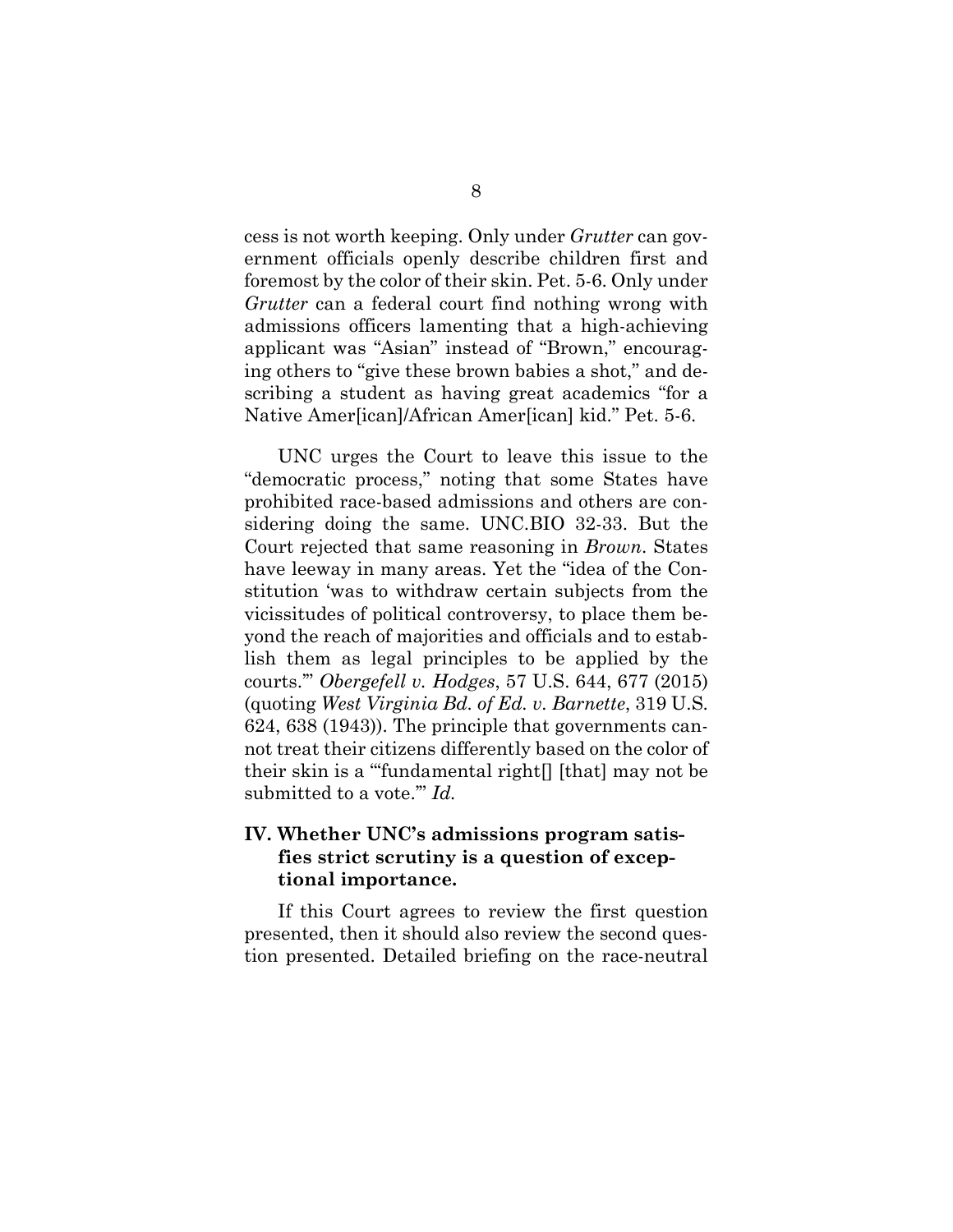cess is not worth keeping. Only under *Grutter* can government officials openly describe children first and foremost by the color of their skin. Pet. 5-6. Only under *Grutter* can a federal court find nothing wrong with admissions officers lamenting that a high-achieving applicant was "Asian" instead of "Brown," encouraging others to "give these brown babies a shot," and describing a student as having great academics "for a Native Amer[ican]/African Amer[ican] kid." Pet. 5-6.

UNC urges the Court to leave this issue to the "democratic process," noting that some States have prohibited race-based admissions and others are considering doing the same. UNC.BIO 32-33. But the Court rejected that same reasoning in *Brown*. States have leeway in many areas. Yet the "idea of the Constitution 'was to withdraw certain subjects from the vicissitudes of political controversy, to place them beyond the reach of majorities and officials and to establish them as legal principles to be applied by the courts.'" *Obergefell v. Hodges*, 57 U.S. 644, 677 (2015) (quoting *West Virginia Bd. of Ed. v. Barnette*, 319 U.S. 624, 638 (1943)). The principle that governments cannot treat their citizens differently based on the color of their skin is a "'fundamental right[] [that] may not be submitted to a vote.'" *Id.*

### **IV. Whether UNC's admissions program satisfies strict scrutiny is a question of exceptional importance.**

If this Court agrees to review the first question presented, then it should also review the second question presented. Detailed briefing on the race-neutral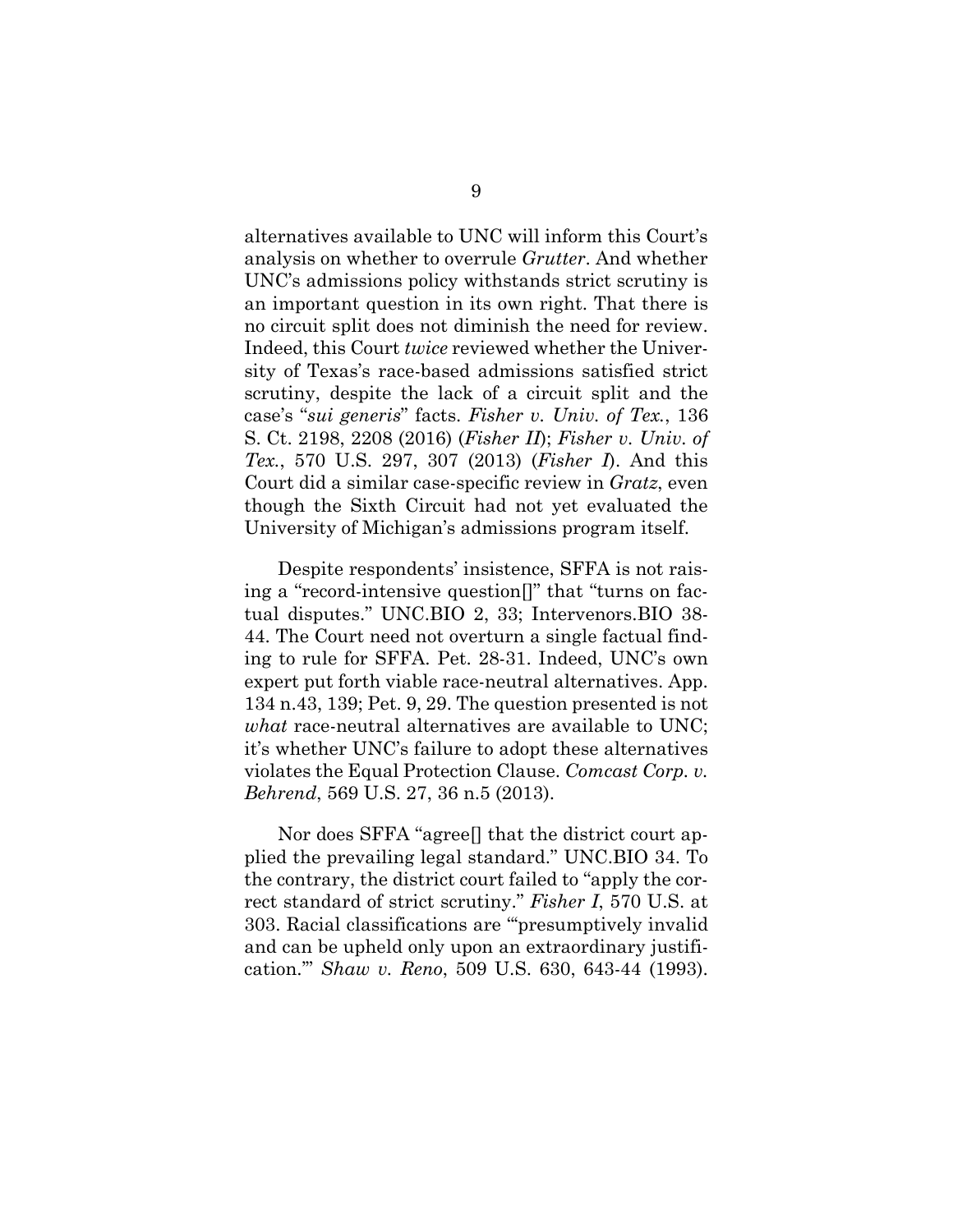alternatives available to UNC will inform this Court's analysis on whether to overrule *Grutter*. And whether UNC's admissions policy withstands strict scrutiny is an important question in its own right. That there is no circuit split does not diminish the need for review. Indeed, this Court *twice* reviewed whether the University of Texas's race-based admissions satisfied strict scrutiny, despite the lack of a circuit split and the case's "*sui generis*" facts. *Fisher v. Univ. of Tex.*, 136 S. Ct. 2198, 2208 (2016) (*Fisher II*); *Fisher v. Univ. of Tex.*, 570 U.S. 297, 307 (2013) (*Fisher I*). And this Court did a similar case-specific review in *Gratz*, even though the Sixth Circuit had not yet evaluated the University of Michigan's admissions program itself.

Despite respondents' insistence, SFFA is not raising a "record-intensive question[]" that "turns on factual disputes." UNC.BIO 2, 33; Intervenors.BIO 38- 44. The Court need not overturn a single factual finding to rule for SFFA. Pet. 28-31. Indeed, UNC's own expert put forth viable race-neutral alternatives. App. 134 n.43, 139; Pet. 9, 29. The question presented is not *what* race-neutral alternatives are available to UNC; it's whether UNC's failure to adopt these alternatives violates the Equal Protection Clause. *Comcast Corp. v. Behrend*, 569 U.S. 27, 36 n.5 (2013).

Nor does SFFA "agree<sup>[]</sup> that the district court applied the prevailing legal standard." UNC.BIO 34. To the contrary, the district court failed to "apply the correct standard of strict scrutiny." *Fisher I*, 570 U.S. at 303. Racial classifications are "'presumptively invalid and can be upheld only upon an extraordinary justification.'" *Shaw v. Reno*, 509 U.S. 630, 643-44 (1993).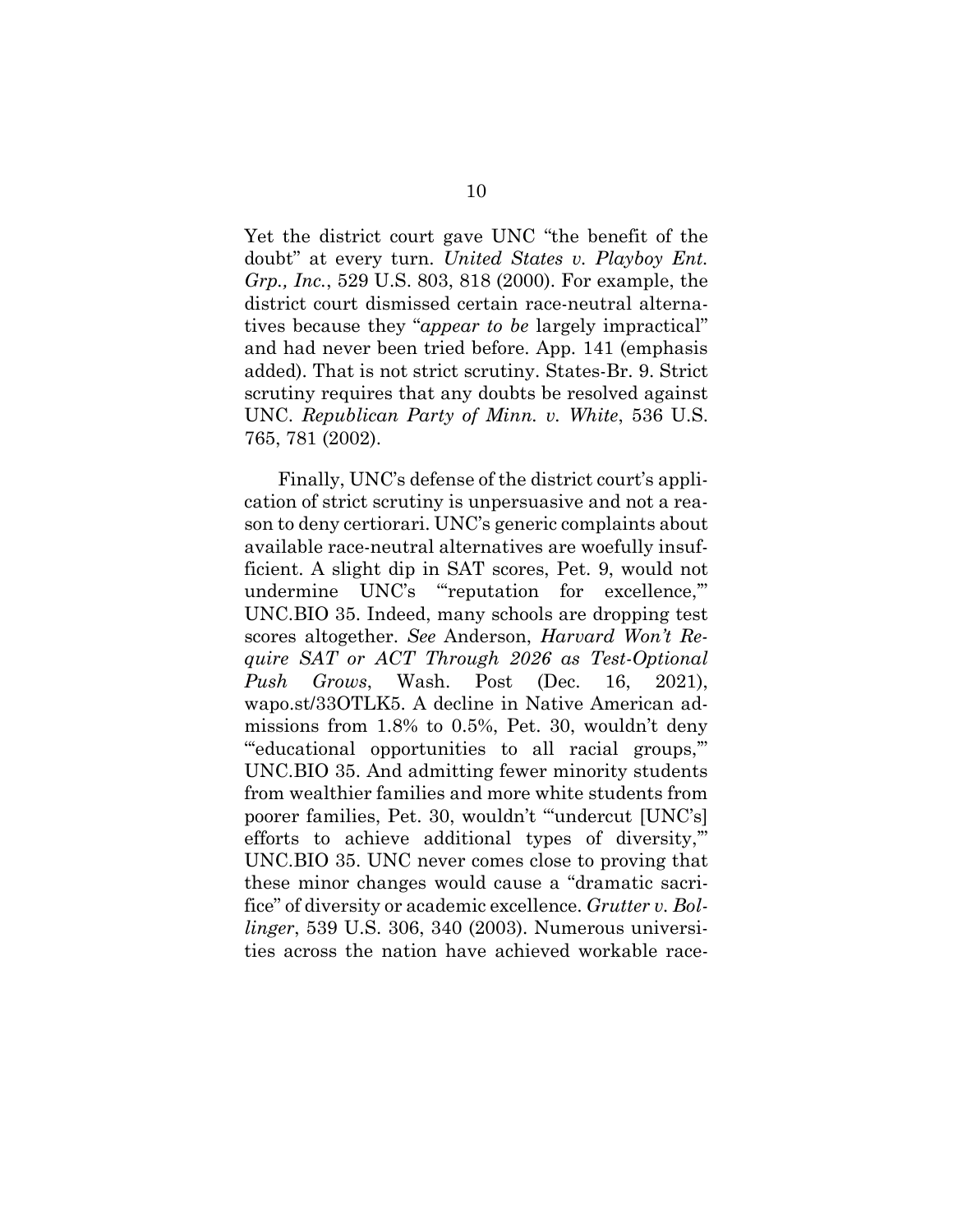Yet the district court gave UNC "the benefit of the doubt" at every turn. *United States v. Playboy Ent. Grp., Inc.*, 529 U.S. 803, 818 (2000). For example, the district court dismissed certain race-neutral alternatives because they "*appear to be* largely impractical" and had never been tried before. App. 141 (emphasis added). That is not strict scrutiny. States-Br. 9. Strict scrutiny requires that any doubts be resolved against UNC. *Republican Party of Minn. v. White*, 536 U.S. 765, 781 (2002).

Finally, UNC's defense of the district court's application of strict scrutiny is unpersuasive and not a reason to deny certiorari. UNC's generic complaints about available race-neutral alternatives are woefully insufficient. A slight dip in SAT scores, Pet. 9, would not undermine UNC's "'reputation for excellence,'" UNC.BIO 35. Indeed, many schools are dropping test scores altogether. *See* Anderson, *Harvard Won't Require SAT or ACT Through 2026 as Test-Optional Push Grows*, Wash. Post (Dec. 16, 2021), wapo.st/33OTLK5. A decline in Native American admissions from 1.8% to 0.5%, Pet. 30, wouldn't deny "'educational opportunities to all racial groups,'" UNC.BIO 35. And admitting fewer minority students from wealthier families and more white students from poorer families, Pet. 30, wouldn't "'undercut [UNC's] efforts to achieve additional types of diversity,'" UNC.BIO 35. UNC never comes close to proving that these minor changes would cause a "dramatic sacrifice" of diversity or academic excellence. *Grutter v. Bollinger*, 539 U.S. 306, 340 (2003). Numerous universities across the nation have achieved workable race